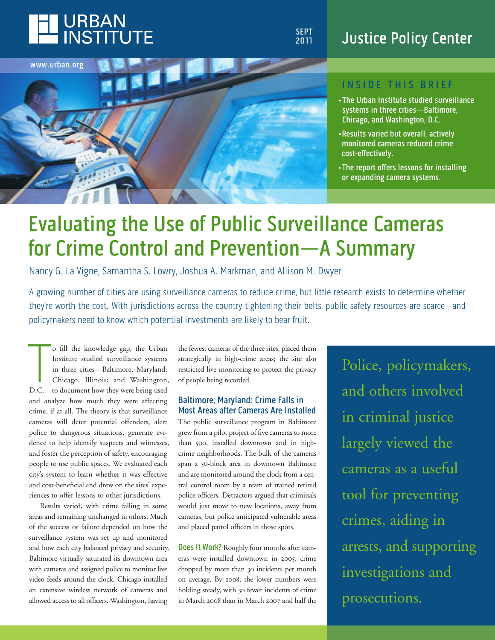

**SEPT 2011**

### **Justice Policy Center**



#### **I n S I d E T h I S b r I E f**

- **•The Urban Institute studied surveillance systems in three cities—baltimore, Chicago, and Washington, d.C.**
- **•results varied but overall, actively monitored cameras reduced crime cost-effectively.**
- **•The report offers lessons for installing or expanding camera systems.**

## **Evaluating the Use of Public Surveillance Cameras for Crime Control and Prevention—A Summary**

Nancy G. La Vigne, Samantha S. Lowry, Joshua A. Markman, and Allison M. Dwyer

A growing number of cities are using surveillance cameras to reduce crime, but little research exists to determine whether they're worth the cost. With jurisdictions across the country tightening their belts, public safety resources are scarce—and policymakers need to know which potential investments are likely to bear fruit.

o fill the knowledge gap, the Urban<br>Institute studied surveillance systems<br>in three cities—Baltimore, Maryland;<br>Chicago, Illinois; and Washington<br>D.C.—to document how they were being used o fill the knowledge gap, the Urban Institute studied surveillance systems in three cities—Baltimore, Maryland; Chicago, Illinois; and Washington, and analyze how much they were affecting crime, if at all. The theory is that surveillance cameras will deter potential offenders, alert police to dangerous situations, generate evidence to help identify suspects and witnesses, and foster the perception of safety, encouraging people to use public spaces. We evaluated each city's system to learn whether it was effective and cost-beneficial and drew on the sites' experiences to offer lessons to other jurisdictions.

Results varied, with crime falling in some areas and remaining unchanged in others. Much of the success or failure depended on how the surveillance system was set up and monitored and how each city balanced privacy and security. Baltimore virtually saturated its downtown area with cameras and assigned police to monitor live video feeds around the clock. Chicago installed an extensive wireless network of cameras and allowed access to all officers. Washington, having

the fewest cameras of the three sites, placed them strategically in high-crime areas; the site also restricted live monitoring to protect the privacy of people being recorded.

#### **baltimore, Maryland: Crime falls in Most Areas after Cameras Are Installed**

The public surveillance program in Baltimore grew from a pilot project of five cameras to more than 500, installed downtown and in highcrime neighborhoods. The bulk of the cameras span a 50-block area in downtown Baltimore and are monitored around the clock from a central control room by a team of trained retired police officers. Detractors argued that criminals would just move to new locations, away from cameras, but police anticipated vulnerable areas and placed patrol officers in those spots.

**Does It Work?** Roughly four months after cameras were installed downtown in 2005, crime dropped by more than 30 incidents per month on average. By 2008, the lower numbers were holding steady, with 30 fewer incidents of crime in March 2008 than in March 2007 and half the

Police, policymakers, and others involved in criminal justice largely viewed the cameras as a useful tool for preventing crimes, aiding in arrests, and supporting investigations and prosecutions.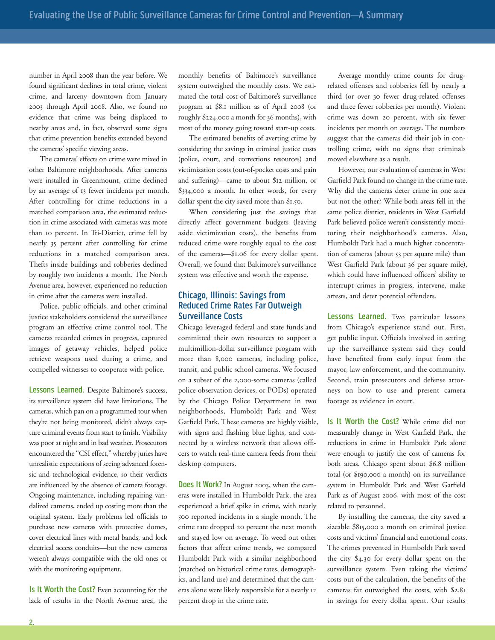number in April 2008 than the year before. We found significant declines in total crime, violent crime, and larceny downtown from January 2003 through April 2008. Also, we found no evidence that crime was being displaced to nearby areas and, in fact, observed some signs that crime prevention benefits extended beyond the cameras' specific viewing areas.

The cameras' effects on crime were mixed in other Baltimore neighborhoods. After cameras were installed in Greenmount, crime declined by an average of 13 fewer incidents per month. After controlling for crime reductions in a matched comparison area, the estimated reduction in crime associated with cameras was more than 10 percent. In Tri-District, crime fell by nearly 35 percent after controlling for crime reductions in a matched comparison area. Thefts inside buildings and robberies declined by roughly two incidents a month. The North Avenue area, however, experienced no reduction in crime after the cameras were installed.

Police, public officials, and other criminal justice stakeholders considered the surveillance program an effective crime control tool. The cameras recorded crimes in progress, captured images of getaway vehicles, helped police retrieve weapons used during a crime, and compelled witnesses to cooperate with police.

**Lessons Learned.** Despite Baltimore's success, its surveillance system did have limitations. The cameras, which pan on a programmed tour when they're not being monitored, didn't always capture criminal events from start to finish. Visibility was poor at night and in bad weather. Prosecutors encountered the "CSI effect," whereby juries have unrealistic expectations of seeing advanced forensic and technological evidence, so their verdicts are influenced by the absence of camera footage. Ongoing maintenance, including repairing vandalized cameras, ended up costing more than the original system. Early problems led officials to purchase new cameras with protective domes, cover electrical lines with metal bands, and lock electrical access conduits—but the new cameras weren't always compatible with the old ones or with the monitoring equipment.

**Is It Worth the Cost?** Even accounting for the lack of results in the North Avenue area, the monthly benefits of Baltimore's surveillance system outweighed the monthly costs. We estimated the total cost of Baltimore's surveillance program at \$8.1 million as of April 2008 (or roughly \$224,000 a month for 36 months), with most of the money going toward start-up costs.

The estimated benefits of averting crime by considering the savings in criminal justice costs (police, court, and corrections resources) and victimization costs (out-of-pocket costs and pain and suffering)—came to about \$12 million, or \$334,000 a month. In other words, for every dollar spent the city saved more than \$1.50.

When considering just the savings that directly affect government budgets (leaving aside victimization costs), the benefits from reduced crime were roughly equal to the cost of the cameras—\$1.06 for every dollar spent. Overall, we found that Baltimore's surveillance system was effective and worth the expense.

#### **Chicago, Illinois: Savings from reduced Crime rates far Outweigh Surveillance Costs**

Chicago leveraged federal and state funds and committed their own resources to support a multimillion-dollar surveillance program with more than 8,000 cameras, including police, transit, and public school cameras. We focused on a subset of the 2,000-some cameras (called police observation devices, or PODs) operated by the Chicago Police Department in two neighborhoods, Humboldt Park and West Garfield Park. These cameras are highly visible, with signs and flashing blue lights, and connected by a wireless network that allows officers to watch real-time camera feeds from their desktop computers.

**does It Work?** In August 2003, when the cameras were installed in Humboldt Park, the area experienced a brief spike in crime, with nearly 500 reported incidents in a single month. The crime rate dropped 20 percent the next month and stayed low on average. To weed out other factors that affect crime trends, we compared Humboldt Park with a similar neighborhood (matched on historical crime rates, demographics, and land use) and determined that the cameras alone were likely responsible for a nearly 12 percent drop in the crime rate.

Average monthly crime counts for drugrelated offenses and robberies fell by nearly a third (or over 30 fewer drug-related offenses and three fewer robberies per month). Violent crime was down 20 percent, with six fewer incidents per month on average. The numbers suggest that the cameras did their job in controlling crime, with no signs that criminals moved elsewhere as a result.

However, our evaluation of cameras in West Garfield Park found no change in the crime rate. Why did the cameras deter crime in one area but not the other? While both areas fell in the same police district, residents in West Garfield Park believed police weren't consistently monitoring their neighborhood's cameras. Also, Humboldt Park had a much higher concentration of cameras (about 53 per square mile) than West Garfield Park (about 36 per square mile), which could have influenced officers' ability to interrupt crimes in progress, intervene, make arrests, and deter potential offenders.

**Lessons Learned.** Two particular lessons from Chicago's experience stand out. First, get public input. Officials involved in setting up the surveillance system said they could have benefited from early input from the mayor, law enforcement, and the community. Second, train prosecutors and defense attorneys on how to use and present camera footage as evidence in court.

**Is It Worth the Cost?** While crime did not measurably change in West Garfield Park, the reductions in crime in Humboldt Park alone were enough to justify the cost of cameras for both areas. Chicago spent about \$6.8 million total (or \$190,000 a month) on its surveillance system in Humboldt Park and West Garfield Park as of August 2006, with most of the cost related to personnel.

By installing the cameras, the city saved a sizeable \$815,000 a month on criminal justice costs and victims' financial and emotional costs. The crimes prevented in Humboldt Park saved the city \$4.30 for every dollar spent on the surveillance system. Even taking the victims' costs out of the calculation, the benefits of the cameras far outweighed the costs, with \$2.81 in savings for every dollar spent. Our results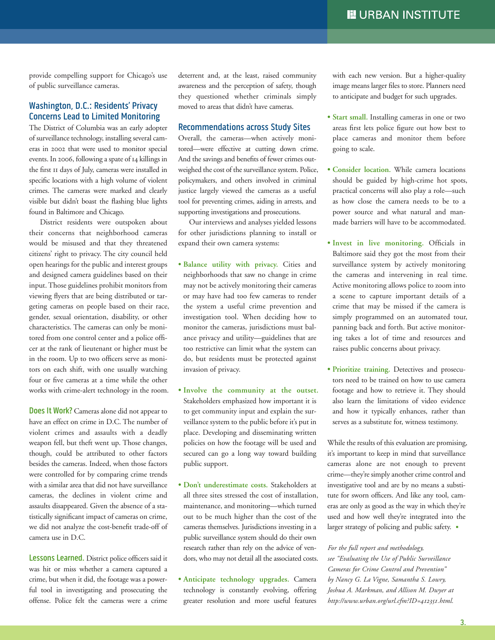provide compelling support for Chicago's use of public surveillance cameras.

#### **Washington, d.C.: residents' Privacy Concerns Lead to Limited Monitoring**

The District of Columbia was an early adopter of surveillance technology, installing several cameras in 2002 that were used to monitor special events. In 2006, following a spate of 14 killings in the first 11 days of July, cameras were installed in specific locations with a high volume of violent crimes. The cameras were marked and clearly visible but didn't boast the flashing blue lights found in Baltimore and Chicago.

District residents were outspoken about their concerns that neighborhood cameras would be misused and that they threatened citizens' right to privacy. The city council held open hearings for the public and interest groups and designed camera guidelines based on their input. Those guidelines prohibit monitors from viewing flyers that are being distributed or targeting cameras on people based on their race, gender, sexual orientation, disability, or other characteristics. The cameras can only be monitored from one control center and a police officer at the rank of lieutenant or higher must be in the room. Up to two officers serve as monitors on each shift, with one usually watching four or five cameras at a time while the other works with crime-alert technology in the room.

**Does It Work?** Cameras alone did not appear to have an effect on crime in D.C. The number of violent crimes and assaults with a deadly weapon fell, but theft went up. Those changes, though, could be attributed to other factors besides the cameras. Indeed, when those factors were controlled for by comparing crime trends with a similar area that did not have surveillance cameras, the declines in violent crime and assaults disappeared. Given the absence of a statistically significant impact of cameras on crime, we did not analyze the cost-benefit trade-off of camera use in D.C.

**Lessons Learned.** District police officers said it was hit or miss whether a camera captured a crime, but when it did, the footage was a powerful tool in investigating and prosecuting the offense. Police felt the cameras were a crime deterrent and, at the least, raised community awareness and the perception of safety, though they questioned whether criminals simply moved to areas that didn't have cameras.

#### **recommendations across Study Sites**

Overall, the cameras—when actively monitored—were effective at cutting down crime. And the savings and benefits of fewer crimes outweighed the cost of the surveillance system. Police, policymakers, and others involved in criminal justice largely viewed the cameras as a useful tool for preventing crimes, aiding in arrests, and supporting investigations and prosecutions.

Our interviews and analyses yielded lessons for other jurisdictions planning to install or expand their own camera systems:

- **• Balance utility with privacy.** Cities and neighborhoods that saw no change in crime may not be actively monitoring their cameras or may have had too few cameras to render the system a useful crime prevention and investigation tool. When deciding how to monitor the cameras, jurisdictions must balance privacy and utility—guidelines that are too restrictive can limit what the system can do, but residents must be protected against invasion of privacy.
- **• Involve the community at the outset.** Stakeholders emphasized how important it is to get community input and explain the surveillance system to the public before it's put in place. Developing and disseminating written policies on how the footage will be used and secured can go a long way toward building public support.
- **• Don't underestimate costs.** Stakeholders at all three sites stressed the cost of installation, maintenance, and monitoring—which turned out to be much higher than the cost of the cameras themselves. Jurisdictions investing in a public surveillance system should do their own research rather than rely on the advice of vendors, who may not detail all the associated costs.
- **• Anticipate technology upgrades.** Camera technology is constantly evolving, offering greater resolution and more useful features

with each new version. But a higher-quality image means larger files to store. Planners need to anticipate and budget for such upgrades.

- **• Start small.** Installing cameras in one or two areas first lets police figure out how best to place cameras and monitor them before going to scale.
- **• Consider location.** While camera locations should be guided by high-crime hot spots, practical concerns will also play a role—such as how close the camera needs to be to a power source and what natural and manmade barriers will have to be accommodated.
- **• Invest in live monitoring.** Officials in Baltimore said they got the most from their surveillance system by actively monitoring the cameras and intervening in real time. Active monitoring allows police to zoom into a scene to capture important details of a crime that may be missed if the camera is simply programmed on an automated tour, panning back and forth. But active monitoring takes a lot of time and resources and raises public concerns about privacy.
- **• Prioritize training.** Detectives and prosecutors need to be trained on how to use camera footage and how to retrieve it. They should also learn the limitations of video evidence and how it typically enhances, rather than serves as a substitute for, witness testimony.

While the results of this evaluation are promising, it's important to keep in mind that surveillance cameras alone are not enough to prevent crime—they're simply another crime control and investigative tool and are by no means a substitute for sworn officers. And like any tool, cameras are only as good as the way in which they're used and how well they're integrated into the larger strategy of policing and public safety. •

*For the full report and methodology, see "Evaluating the Use of Public Surveillance Cameras for Crime Control and Prevention" by Nancy G. La Vigne, Samantha S. Lowry, Joshua A. Markman, and Allison M. Dwyer at http://www.urban.org/url.cfm?ID=412351.html.*